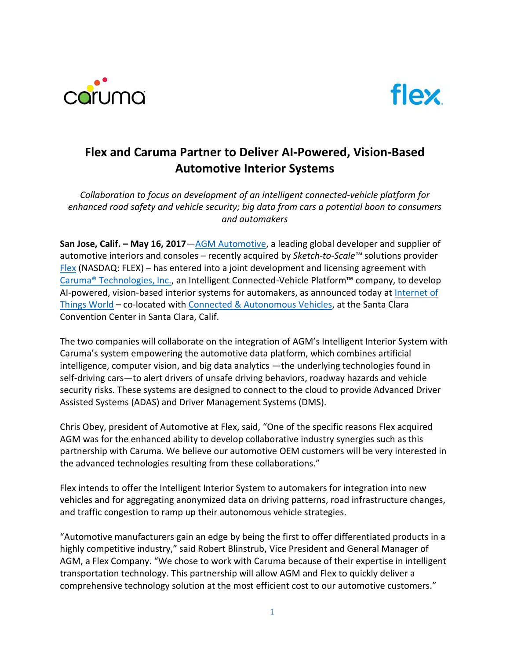



# **Flex and Caruma Partner to Deliver AI-Powered, Vision-Based Automotive Interior Systems**

*Collaboration to focus on development of an intelligent connected-vehicle platform for enhanced road safety and vehicle security; big data from cars a potential boon to consumers and automakers*

**San Jose, Calif. – May 16, 2017**—[AGM Automotive,](http://www.agmautomotive.com/) a leading global developer and supplier of automotive interiors and consoles – recently acquired by *Sketch-to-Scale™* solutions provider  $F$ lex (NASDAQ: FLEX) – has entered into a joint development and licensing agreement with Caruma® [Technologies, Inc.,](https://caruma.tech/) an Intelligent Connected-Vehicle Platform™ company, to develop AI-powered, vision-based interior systems for automakers, as announced today at [Internet of](https://tmt.knect365.com/iot-world/)  [Things](https://tmt.knect365.com/iot-world/) World – co-located with [Connected & Autonomous Vehicles,](https://tmt.knect365.com/connected-vehicles/) at the Santa Clara Convention Center in Santa Clara, Calif.

The two companies will collaborate on the integration of AGM's Intelligent Interior System with Caruma's system empowering the automotive data platform, which combines artificial intelligence, computer vision, and big data analytics —the underlying technologies found in self-driving cars—to alert drivers of unsafe driving behaviors, roadway hazards and vehicle security risks. These systems are designed to connect to the cloud to provide Advanced Driver Assisted Systems (ADAS) and Driver Management Systems (DMS).

Chris Obey, president of Automotive at Flex, said, "One of the specific reasons Flex acquired AGM was for the enhanced ability to develop collaborative industry synergies such as this partnership with Caruma. We believe our automotive OEM customers will be very interested in the advanced technologies resulting from these collaborations."

Flex intends to offer the Intelligent Interior System to automakers for integration into new vehicles and for aggregating anonymized data on driving patterns, road infrastructure changes, and traffic congestion to ramp up their autonomous vehicle strategies.

"Automotive manufacturers gain an edge by being the first to offer differentiated products in a highly competitive industry," said Robert Blinstrub, Vice President and General Manager of AGM, a Flex Company. "We chose to work with Caruma because of their expertise in intelligent transportation technology. This partnership will allow AGM and Flex to quickly deliver a comprehensive technology solution at the most efficient cost to our automotive customers."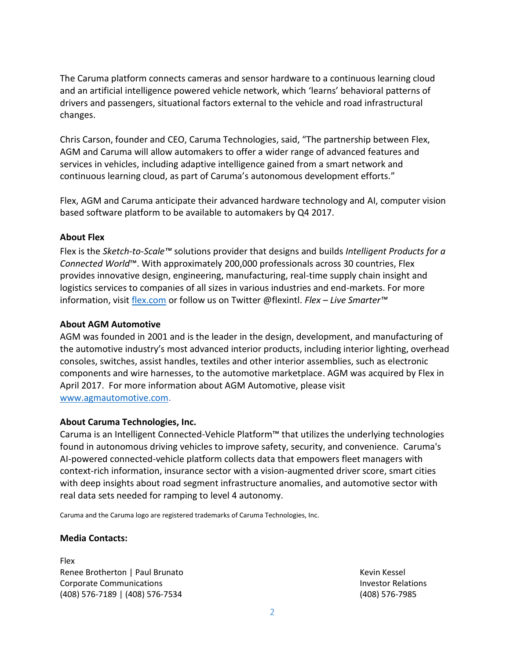The Caruma platform connects cameras and sensor hardware to a continuous learning cloud and an artificial intelligence powered vehicle network, which 'learns' behavioral patterns of drivers and passengers, situational factors external to the vehicle and road infrastructural changes.

Chris Carson, founder and CEO, Caruma Technologies, said, "The partnership between Flex, AGM and Caruma will allow automakers to offer a wider range of advanced features and services in vehicles, including adaptive intelligence gained from a smart network and continuous learning cloud, as part of Caruma's autonomous development efforts."

Flex, AGM and Caruma anticipate their advanced hardware technology and AI, computer vision based software platform to be available to automakers by Q4 2017.

## **About Flex**

Flex is the *Sketch-to-Scale™* solutions provider that designs and builds *Intelligent Products for a Connected World*™. With approximately 200,000 professionals across 30 countries, Flex provides innovative design, engineering, manufacturing, real-time supply chain insight and logistics services to companies of all sizes in various industries and end-markets. For more information, visit [flex.com](http://flex.com/) or follow us on Twitter @flexintl. *Flex – Live Smarter™*

## **About AGM Automotive**

AGM was founded in 2001 and is the leader in the design, development, and manufacturing of the automotive industry's most advanced interior products, including interior lighting, overhead consoles, switches, assist handles, textiles and other interior assemblies, such as electronic components and wire harnesses, to the automotive marketplace. AGM was acquired by Flex in April 2017. For more information about AGM Automotive, please visit [www.agmautomotive.com.](http://www.agmautomotive.com/)

## **About Caruma Technologies, Inc.**

Caruma is an Intelligent Connected-Vehicle Platform™ that utilizes the underlying technologies found in autonomous driving vehicles to improve safety, security, and convenience. Caruma's AI-powered connected-vehicle platform collects data that empowers fleet managers with context-rich information, insurance sector with a vision-augmented driver score, smart cities with deep insights about road segment infrastructure anomalies, and automotive sector with real data sets needed for ramping to level 4 autonomy.

Caruma and the Caruma logo are registered trademarks of Caruma Technologies, Inc.

## **Media Contacts:**

Flex Renee Brotherton | Paul Brunato Kevin Kessel Kevin Kessel Corporate Communications Investor Relations (408) 576-7189 | (408) 576-7534 (408) 576-7985